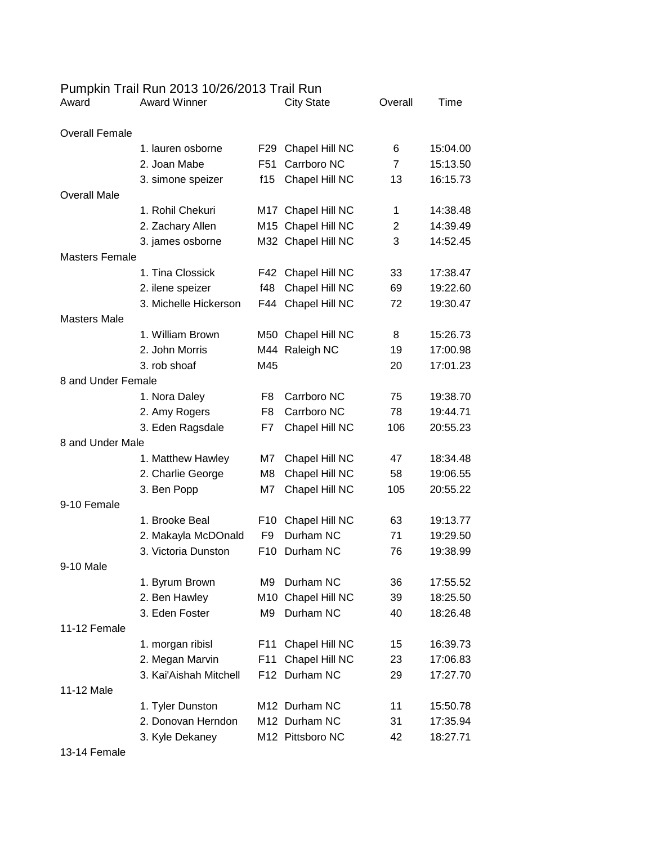|  |  |  | Pumpkin Trail Run 2013 10/26/2013 Trail Run |  |
|--|--|--|---------------------------------------------|--|
|--|--|--|---------------------------------------------|--|

| Award                 | <b>Award Winner</b>    |                 | <b>City State</b>  | Overall        | Time     |
|-----------------------|------------------------|-----------------|--------------------|----------------|----------|
| <b>Overall Female</b> |                        |                 |                    |                |          |
|                       | 1. lauren osborne      | F <sub>29</sub> | Chapel Hill NC     | 6              | 15:04.00 |
|                       | 2. Joan Mabe           | F51             | Carrboro NC        | $\overline{7}$ | 15:13.50 |
|                       | 3. simone speizer      | f15             | Chapel Hill NC     | 13             | 16:15.73 |
| <b>Overall Male</b>   |                        |                 |                    |                |          |
|                       | 1. Rohil Chekuri       |                 | M17 Chapel Hill NC | 1              | 14:38.48 |
|                       | 2. Zachary Allen       |                 | M15 Chapel Hill NC | $\overline{2}$ | 14:39.49 |
|                       | 3. james osborne       |                 | M32 Chapel Hill NC | 3              | 14:52.45 |
| <b>Masters Female</b> |                        |                 |                    |                |          |
|                       | 1. Tina Clossick       |                 | F42 Chapel Hill NC | 33             | 17:38.47 |
|                       | 2. ilene speizer       | f48             | Chapel Hill NC     | 69             | 19:22.60 |
|                       | 3. Michelle Hickerson  | F44             | Chapel Hill NC     | 72             | 19:30.47 |
| <b>Masters Male</b>   |                        |                 |                    |                |          |
|                       | 1. William Brown       |                 | M50 Chapel Hill NC | 8              | 15:26.73 |
|                       | 2. John Morris         |                 | M44 Raleigh NC     | 19             | 17:00.98 |
|                       | 3. rob shoaf           | M45             |                    | 20             | 17:01.23 |
| 8 and Under Female    |                        |                 |                    |                |          |
|                       | 1. Nora Daley          | F8              | Carrboro NC        | 75             | 19:38.70 |
|                       | 2. Amy Rogers          | F <sub>8</sub>  | Carrboro NC        | 78             | 19:44.71 |
|                       | 3. Eden Ragsdale       | F7              | Chapel Hill NC     | 106            | 20:55.23 |
| 8 and Under Male      |                        |                 |                    |                |          |
|                       | 1. Matthew Hawley      | M7              | Chapel Hill NC     | 47             | 18:34.48 |
|                       | 2. Charlie George      | M8              | Chapel Hill NC     | 58             | 19:06.55 |
|                       | 3. Ben Popp            | M7              | Chapel Hill NC     | 105            | 20:55.22 |
| 9-10 Female           |                        |                 |                    |                |          |
|                       | 1. Brooke Beal         | F <sub>10</sub> | Chapel Hill NC     | 63             | 19:13.77 |
|                       | 2. Makayla McDOnald    | F <sub>9</sub>  | Durham NC          | 71             | 19:29.50 |
|                       | 3. Victoria Dunston    | F <sub>10</sub> | Durham NC          | 76             | 19:38.99 |
| 9-10 Male             |                        |                 |                    |                |          |
|                       | 1. Byrum Brown         | M9              | Durham NC          | 36             | 17:55.52 |
|                       | 2. Ben Hawley          | M10             | Chapel Hill NC     | 39             | 18:25.50 |
|                       | 3. Eden Foster         | M9              | Durham NC          | 40             | 18:26.48 |
| 11-12 Female          |                        |                 |                    |                |          |
|                       | 1. morgan ribisl       | F11             | Chapel Hill NC     | 15             | 16:39.73 |
|                       | 2. Megan Marvin        | F <sub>11</sub> | Chapel Hill NC     | 23             | 17:06.83 |
|                       | 3. Kai'Aishah Mitchell |                 | F12 Durham NC      | 29             | 17:27.70 |
| 11-12 Male            |                        |                 |                    |                |          |
|                       | 1. Tyler Dunston       |                 | M12 Durham NC      | 11             | 15:50.78 |
|                       | 2. Donovan Herndon     |                 | M12 Durham NC      | 31             | 17:35.94 |
|                       | 3. Kyle Dekaney        |                 | M12 Pittsboro NC   | 42             | 18:27.71 |

13-14 Female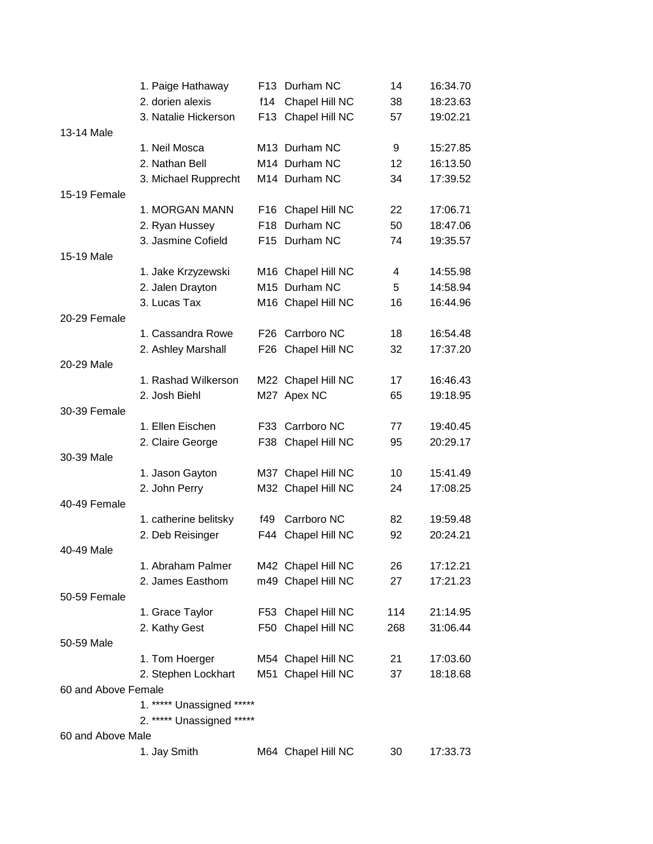|                     | 1. Paige Hathaway         |       | F13 Durham NC      | 14  | 16:34.70 |
|---------------------|---------------------------|-------|--------------------|-----|----------|
|                     | 2. dorien alexis          | f14   | Chapel Hill NC     | 38  | 18:23.63 |
|                     | 3. Natalie Hickerson      |       | F13 Chapel Hill NC | 57  | 19:02.21 |
| 13-14 Male          |                           |       |                    |     |          |
|                     | 1. Neil Mosca             |       | M13 Durham NC      | 9   | 15:27.85 |
|                     | 2. Nathan Bell            |       | M14 Durham NC      | 12  | 16:13.50 |
|                     | 3. Michael Rupprecht      |       | M14 Durham NC      | 34  | 17:39.52 |
| 15-19 Female        |                           |       |                    |     |          |
|                     | 1. MORGAN MANN            |       | F16 Chapel Hill NC | 22  | 17:06.71 |
|                     | 2. Ryan Hussey            |       | F18 Durham NC      | 50  | 18:47.06 |
|                     | 3. Jasmine Cofield        |       | F15 Durham NC      | 74  | 19:35.57 |
| 15-19 Male          |                           |       |                    |     |          |
|                     | 1. Jake Krzyzewski        |       | M16 Chapel Hill NC | 4   | 14:55.98 |
|                     | 2. Jalen Drayton          |       | M15 Durham NC      | 5   | 14:58.94 |
|                     | 3. Lucas Tax              |       | M16 Chapel Hill NC | 16  | 16:44.96 |
| 20-29 Female        |                           |       |                    |     |          |
|                     | 1. Cassandra Rowe         |       | F26 Carrboro NC    | 18  | 16:54.48 |
|                     | 2. Ashley Marshall        | F26 I | Chapel Hill NC     | 32  | 17:37.20 |
| 20-29 Male          |                           |       |                    |     |          |
|                     | 1. Rashad Wilkerson       |       | M22 Chapel Hill NC | 17  | 16:46.43 |
|                     | 2. Josh Biehl             |       | M27 Apex NC        | 65  | 19:18.95 |
| 30-39 Female        |                           |       |                    |     |          |
|                     | 1. Ellen Eischen          |       | F33 Carrboro NC    | 77  | 19:40.45 |
|                     | 2. Claire George          |       | F38 Chapel Hill NC | 95  | 20:29.17 |
| 30-39 Male          |                           |       |                    |     |          |
|                     | 1. Jason Gayton           |       | M37 Chapel Hill NC | 10  | 15:41.49 |
|                     | 2. John Perry             |       | M32 Chapel Hill NC | 24  | 17:08.25 |
| 40-49 Female        |                           |       |                    |     |          |
|                     | 1. catherine belitsky     | f49   | Carrboro NC        | 82  | 19:59.48 |
|                     | 2. Deb Reisinger          | F44   | Chapel Hill NC     | 92  | 20:24.21 |
| 40-49 Male          |                           |       |                    |     |          |
|                     | 1. Abraham Palmer         |       | M42 Chapel Hill NC | 26  | 17:12.21 |
|                     | 2. James Easthom          |       | m49 Chapel Hill NC | 27  | 17:21.23 |
| 50-59 Female        |                           |       |                    |     |          |
|                     | 1. Grace Taylor           |       | F53 Chapel Hill NC | 114 | 21:14.95 |
|                     | 2. Kathy Gest             |       | F50 Chapel Hill NC | 268 | 31:06.44 |
| 50-59 Male          |                           |       |                    |     |          |
|                     | 1. Tom Hoerger            |       | M54 Chapel Hill NC | 21  | 17:03.60 |
|                     | 2. Stephen Lockhart       |       | M51 Chapel Hill NC | 37  | 18:18.68 |
| 60 and Above Female |                           |       |                    |     |          |
|                     | 1. ***** Unassigned ***** |       |                    |     |          |
|                     | 2. ***** Unassigned ***** |       |                    |     |          |
| 60 and Above Male   |                           |       |                    |     |          |
|                     | 1. Jay Smith              |       | M64 Chapel Hill NC | 30  | 17:33.73 |